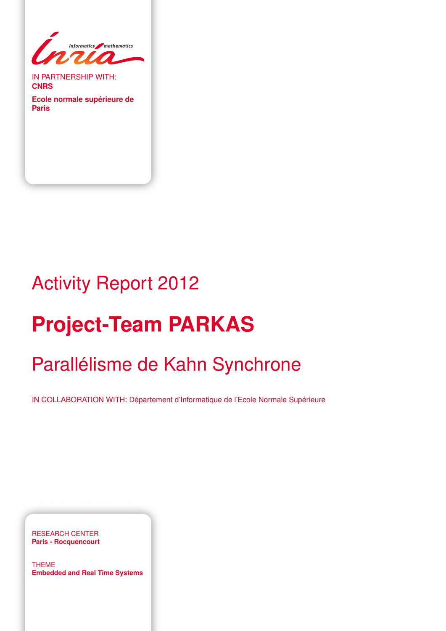

IN PARTNERSHIP WITH: **CNRS**

**Ecole normale supérieure de Paris**

# Activity Report 2012

# **Project-Team PARKAS**

# Parallélisme de Kahn Synchrone

IN COLLABORATION WITH: Département d'Informatique de l'Ecole Normale Supérieure

RESEARCH CENTER **Paris - Rocquencourt**

THEME **Embedded and Real Time Systems**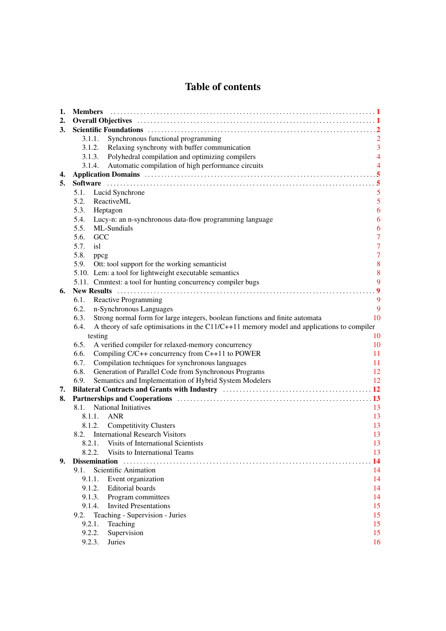# Table of contents

| 1. | <b>Members</b>                                                                                     |                |
|----|----------------------------------------------------------------------------------------------------|----------------|
| 2. |                                                                                                    |                |
| 3. |                                                                                                    |                |
|    | Synchronous functional programming<br>3.1.1.                                                       |                |
|    | 3.1.2.<br>Relaxing synchrony with buffer communication                                             | $\overline{3}$ |
|    | Polyhedral compilation and optimizing compilers<br>3.1.3.                                          | $\overline{4}$ |
|    | Automatic compilation of high performance circuits<br>3.1.4.                                       | $\overline{4}$ |
| 4. |                                                                                                    |                |
| 5. |                                                                                                    |                |
|    | 5.1.<br>Lucid Synchrone                                                                            | 5              |
|    | 5.2.<br>ReactiveML                                                                                 | 5              |
|    | 5.3.<br>Heptagon                                                                                   | 6              |
|    | 5.4.<br>Lucy-n: an n-synchronous data-flow programming language                                    | 6              |
|    | ML-Sundials<br>5.5.                                                                                | 6              |
|    | 5.6.<br>GCC                                                                                        | $\overline{7}$ |
|    | 5.7.<br>isl                                                                                        | $\overline{7}$ |
|    | 5.8.<br>ppcg                                                                                       | $\overline{7}$ |
|    | 5.9.<br>Ott: tool support for the working semanticist                                              | $\bf 8$        |
|    | 5.10. Lem: a tool for lightweight executable semantics                                             | 8              |
|    | 5.11. Cmmtest: a tool for hunting concurrency compiler bugs                                        | 9              |
| 6. |                                                                                                    | $\overline{9}$ |
|    | Reactive Programming<br>6.1.                                                                       | 9              |
|    | n-Synchronous Languages<br>6.2.                                                                    | 9              |
|    | Strong normal form for large integers, boolean functions and finite automata<br>6.3.               | 10             |
|    | A theory of safe optimisations in the $C11/C+11$ memory model and applications to compiler<br>6.4. |                |
|    | testing                                                                                            | 10             |
|    | 6.5.<br>A verified compiler for relaxed-memory concurrency                                         | 10             |
|    | Compiling C/C++ concurrency from C++11 to POWER<br>6.6.                                            | 11             |
|    | Compilation techniques for synchronous languages<br>6.7.                                           | 11             |
|    | Generation of Parallel Code from Synchronous Programs<br>6.8.                                      | 12             |
|    | Semantics and Implementation of Hybrid System Modelers<br>6.9.                                     | 12             |
| 7. |                                                                                                    |                |
| 8. |                                                                                                    |                |
|    | National Initiatives<br>8.1.                                                                       | 13             |
|    | 8.1.1. ANR                                                                                         | 13             |
|    | 8.1.2. Competitivity Clusters                                                                      | 13             |
|    | 8.2. International Research Visitors                                                               | 13             |
|    | 8.2.1. Visits of International Scientists                                                          | 13             |
|    | Visits to International Teams<br>8.2.2.                                                            | 13             |
| 9. | <b>Dissemination</b>                                                                               | 14             |
|    | Scientific Animation<br>9.1.                                                                       | 14             |
|    | 9.1.1.<br>Event organization                                                                       | 14             |
|    | <b>Editorial</b> boards<br>9.1.2.                                                                  | 14             |
|    | 9.1.3.<br>Program committees                                                                       | 14             |
|    | <b>Invited Presentations</b><br>9.1.4.                                                             | 15             |
|    | Teaching - Supervision - Juries<br>9.2.                                                            | 15             |
|    | 9.2.1.<br>Teaching                                                                                 | 15             |
|    | 9.2.2.<br>Supervision                                                                              | 15             |
|    | 9.2.3.<br>Juries                                                                                   | 16             |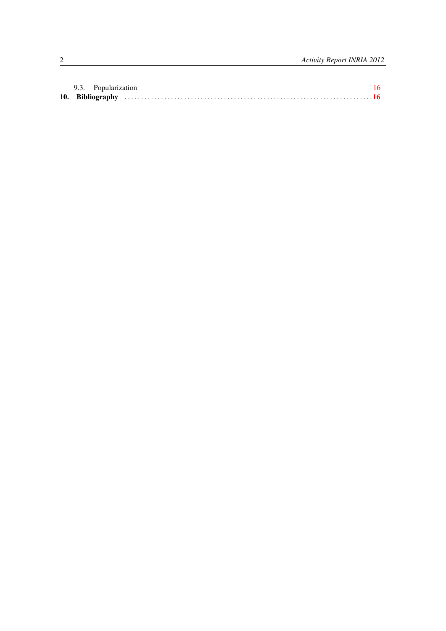|  | 9.3. Popularization |  |  |  |
|--|---------------------|--|--|--|
|  |                     |  |  |  |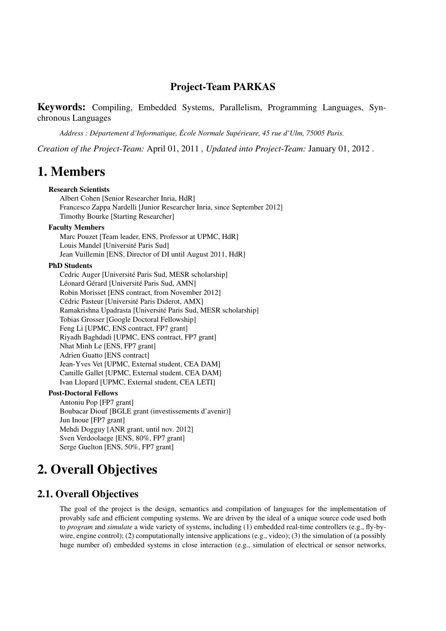# Project-Team PARKAS

Keywords: Compiling, Embedded Systems, Parallelism, Programming Languages, Synchronous Languages

*Address : Département d'Informatique, École Normale Supérieure, 45 rue d'Ulm, 75005 Paris.*

*Creation of the Project-Team:* April 01, 2011 *, Updated into Project-Team:* January 01, 2012 .

# <span id="page-4-0"></span>1. Members

#### Research Scientists

Albert Cohen [Senior Researcher Inria, HdR] Francesco Zappa Nardelli [Junior Researcher Inria, since September 2012] Timothy Bourke [Starting Researcher]

#### Faculty Members

Marc Pouzet [Team leader, ENS, Professor at UPMC, HdR] Louis Mandel [Université Paris Sud] Jean Vuillemin [ENS, Director of DI until August 2011, HdR]

#### PhD Students

Cedric Auger [Université Paris Sud, MESR scholarship] Léonard Gérard [Université Paris Sud, AMN] Robin Morisset [ENS contract, from November 2012] Cédric Pasteur [Université Paris Diderot, AMX] Ramakrishna Upadrasta [Université Paris Sud, MESR scholarship] Tobias Grosser [Google Doctoral Fellowship] Feng Li [UPMC, ENS contract, FP7 grant] Riyadh Baghdadi [UPMC, ENS contract, FP7 grant] Nhat Minh Le [ENS, FP7 grant] Adrien Guatto [ENS contract] Jean-Yves Vet [UPMC, External student, CEA DAM] Camille Gallet [UPMC, External student, CEA DAM] Ivan Llopard [UPMC, External student, CEA LETI]

#### Post-Doctoral Fellows

Antoniu Pop [FP7 grant] Boubacar Diouf [BGLE grant (investissements d'avenir)] Jun Inoue [FP7 grant] Mehdi Dogguy [ANR grant, until nov. 2012] Sven Verdoolaege [ENS, 80%, FP7 grant] Serge Guelton [ENS, 50%, FP7 grant]

# <span id="page-4-1"></span>2. Overall Objectives

## 2.1. Overall Objectives

The goal of the project is the design, semantics and compilation of languages for the implementation of provably safe and efficient computing systems. We are driven by the ideal of a unique source code used both to *program* and *simulate* a wide variety of systems, including (1) embedded real-time controllers (e.g., fly-bywire, engine control); (2) computationally intensive applications (e.g., video); (3) the simulation of (a possibly huge number of) embedded systems in close interaction (e.g., simulation of electrical or sensor networks,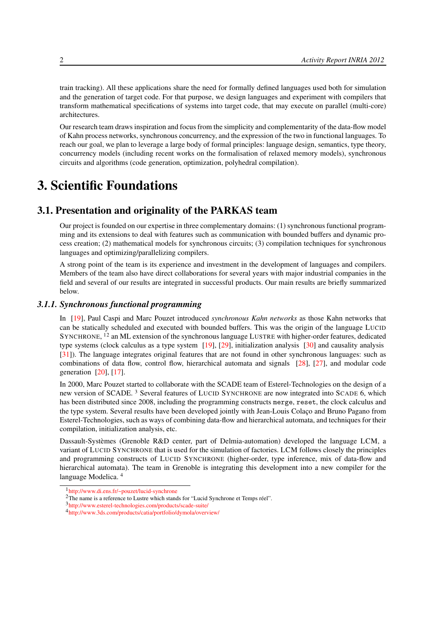train tracking). All these applications share the need for formally defined languages used both for simulation and the generation of target code. For that purpose, we design languages and experiment with compilers that transform mathematical specifications of systems into target code, that may execute on parallel (multi-core) architectures.

Our research team draws inspiration and focus from the simplicity and complementarity of the data-flow model of Kahn process networks, synchronous concurrency, and the expression of the two in functional languages. To reach our goal, we plan to leverage a large body of formal principles: language design, semantics, type theory, concurrency models (including recent works on the formalisation of relaxed memory models), synchronous circuits and algorithms (code generation, optimization, polyhedral compilation).

# <span id="page-5-0"></span>3. Scientific Foundations

# 3.1. Presentation and originality of the PARKAS team

Our project is founded on our expertise in three complementary domains: (1) synchronous functional programming and its extensions to deal with features such as communication with bounded buffers and dynamic process creation; (2) mathematical models for synchronous circuits; (3) compilation techniques for synchronous languages and optimizing/parallelizing compilers.

A strong point of the team is its experience and investment in the development of languages and compilers. Members of the team also have direct collaborations for several years with major industrial companies in the field and several of our results are integrated in successful products. Our main results are briefly summarized below.

#### *3.1.1. Synchronous functional programming*

<span id="page-5-1"></span>In [\[19\]](#page-21-0), Paul Caspi and Marc Pouzet introduced *synchronous Kahn networks* as those Kahn networks that can be statically scheduled and executed with bounded buffers. This was the origin of the language LUCID SYNCHRONE, <sup>12</sup> an ML extension of the synchronous language LUSTRE with higher-order features, dedicated type systems (clock calculus as a type system  $[19]$ ,  $[29]$ , initialization analysis  $[30]$  and causality analysis [\[31\]](#page-22-0)). The language integrates original features that are not found in other synchronous languages: such as combinations of data flow, control flow, hierarchical automata and signals [\[28\]](#page-21-3), [\[27\]](#page-21-4), and modular code generation [\[20\]](#page-21-5), [\[17\]](#page-20-0).

In 2000, Marc Pouzet started to collaborate with the SCADE team of Esterel-Technologies on the design of a new version of SCADE. <sup>3</sup> Several features of LUCID SYNCHRONE are now integrated into SCADE 6, which has been distributed since 2008, including the programming constructs merge, reset, the clock calculus and the type system. Several results have been developed jointly with Jean-Louis Colaço and Bruno Pagano from Esterel-Technologies, such as ways of combining data-flow and hierarchical automata, and techniques for their compilation, initialization analysis, etc.

Dassault-Systèmes (Grenoble R&D center, part of Delmia-automation) developed the language LCM, a variant of LUCID SYNCHRONE that is used for the simulation of factories. LCM follows closely the principles and programming constructs of LUCID SYNCHRONE (higher-order, type inference, mix of data-flow and hierarchical automata). The team in Grenoble is integrating this development into a new compiler for the language Modelica. <sup>4</sup>

<sup>1</sup> <http://www.di.ens.fr/~pouzet/lucid-synchrone>

<sup>&</sup>lt;sup>2</sup>The name is a reference to Lustre which stands for "Lucid Synchrone et Temps réel".

<sup>3</sup> <http://www.esterel-technologies.com/products/scade-suite/>

<sup>4</sup> <http://www.3ds.com/products/catia/portfolio/dymola/overview/>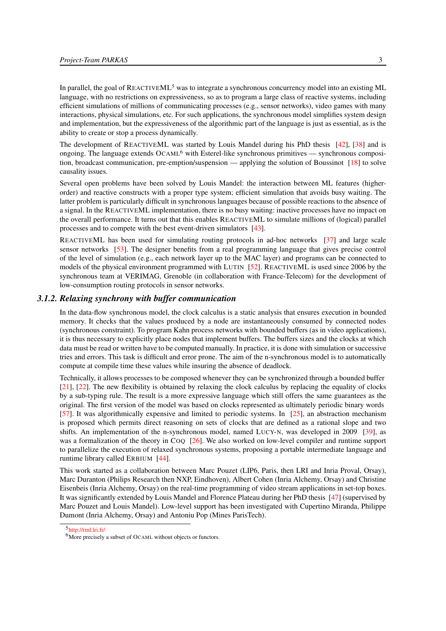In parallel, the goal of  $REACTIVEML<sup>5</sup>$  was to integrate a synchronous concurrency model into an existing ML language, with no restrictions on expressiveness, so as to program a large class of reactive systems, including efficient simulations of millions of communicating processes (e.g., sensor networks), video games with many interactions, physical simulations, etc. For such applications, the synchronous model simplifies system design and implementation, but the expressiveness of the algorithmic part of the language is just as essential, as is the ability to create or stop a process dynamically.

The development of REACTIVEML was started by Louis Mandel during his PhD thesis [\[42\]](#page-22-1), [\[38\]](#page-22-2) and is ongoing. The language extends  $OCAML<sup>6</sup>$  with Esterel-like synchronous primitives — synchronous composition, broadcast communication, pre-emption/suspension — applying the solution of Boussinot [\[18\]](#page-21-6) to solve causality issues.

Several open problems have been solved by Louis Mandel: the interaction between ML features (higherorder) and reactive constructs with a proper type system; efficient simulation that avoids busy waiting. The latter problem is particularly difficult in synchronous languages because of possible reactions to the absence of a signal. In the REACTIVEML implementation, there is no busy waiting: inactive processes have no impact on the overall performance. It turns out that this enables REACTIVEML to simulate millions of (logical) parallel processes and to compete with the best event-driven simulators [\[43\]](#page-22-3).

REACTIVEML has been used for simulating routing protocols in ad-hoc networks [\[37\]](#page-22-4) and large scale sensor networks [\[53\]](#page-23-0). The designer benefits from a real programming language that gives precise control of the level of simulation (e.g., each network layer up to the MAC layer) and programs can be connected to models of the physical environment programmed with LUTIN [\[52\]](#page-23-1). REACTIVEML is used since 2006 by the synchronous team at VERIMAG, Grenoble (in collaboration with France-Telecom) for the development of low-consumption routing protocols in sensor networks.

#### *3.1.2. Relaxing synchrony with buffer communication*

<span id="page-6-0"></span>In the data-flow synchronous model, the clock calculus is a static analysis that ensures execution in bounded memory. It checks that the values produced by a node are instantaneously consumed by connected nodes (synchronous constraint). To program Kahn process networks with bounded buffers (as in video applications), it is thus necessary to explicitly place nodes that implement buffers. The buffers sizes and the clocks at which data must be read or written have to be computed manually. In practice, it is done with simulation or successive tries and errors. This task is difficult and error prone. The aim of the n-synchronous model is to automatically compute at compile time these values while insuring the absence of deadlock.

Technically, it allows processes to be composed whenever they can be synchronized through a bounded buffer [\[21\]](#page-21-7), [\[22\]](#page-21-8). The new flexibility is obtained by relaxing the clock calculus by replacing the equality of clocks by a sub-typing rule. The result is a more expressive language which still offers the same guarantees as the original. The first version of the model was based on clocks represented as ultimately periodic binary words [\[57\]](#page-23-2). It was algorithmically expensive and limited to periodic systems. In [\[25\]](#page-21-9), an abstraction mechanism is proposed which permits direct reasoning on sets of clocks that are defined as a rational slope and two shifts. An implementation of the n-synchronous model, named LUCY-N, was developed in 2009 [\[39\]](#page-22-5), as was a formalization of the theory in COQ [\[26\]](#page-21-10). We also worked on low-level compiler and runtime support to parallelize the execution of relaxed synchronous systems, proposing a portable intermediate language and runtime library called ERBIUM [\[44\]](#page-22-6).

This work started as a collaboration between Marc Pouzet (LIP6, Paris, then LRI and Inria Proval, Orsay), Marc Duranton (Philips Research then NXP, Eindhoven), Albert Cohen (Inria Alchemy, Orsay) and Christine Eisenbeis (Inria Alchemy, Orsay) on the real-time programming of video stream applications in set-top boxes. It was significantly extended by Louis Mandel and Florence Plateau during her PhD thesis [\[47\]](#page-23-3) (supervised by Marc Pouzet and Louis Mandel). Low-level support has been investigated with Cupertino Miranda, Philippe Dumont (Inria Alchemy, Orsay) and Antoniu Pop (Mines ParisTech).

<sup>5</sup> <http://rml.lri.fr/>

<sup>&</sup>lt;sup>6</sup>More precisely a subset of OCAML without objects or functors.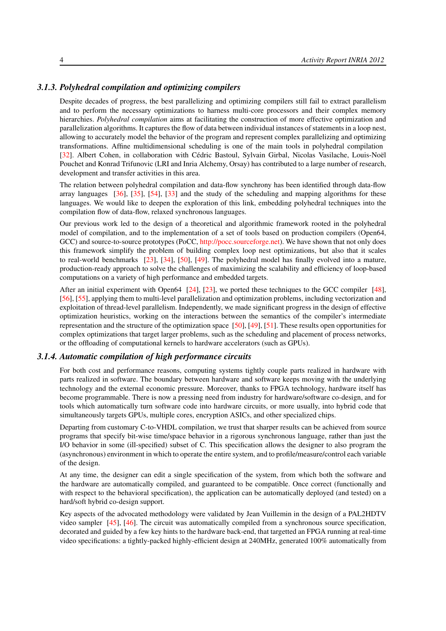#### *3.1.3. Polyhedral compilation and optimizing compilers*

<span id="page-7-0"></span>Despite decades of progress, the best parallelizing and optimizing compilers still fail to extract parallelism and to perform the necessary optimizations to harness multi-core processors and their complex memory hierarchies. *Polyhedral compilation* aims at facilitating the construction of more effective optimization and parallelization algorithms. It captures the flow of data between individual instances of statements in a loop nest, allowing to accurately model the behavior of the program and represent complex parallelizing and optimizing transformations. Affine multidimensional scheduling is one of the main tools in polyhedral compilation [\[32\]](#page-22-7). Albert Cohen, in collaboration with Cédric Bastoul, Sylvain Girbal, Nicolas Vasilache, Louis-Noël Pouchet and Konrad Trifunovic (LRI and Inria Alchemy, Orsay) has contributed to a large number of research, development and transfer activities in this area.

The relation between polyhedral compilation and data-flow synchrony has been identified through data-flow array languages [\[36\]](#page-22-8), [\[35\]](#page-22-9), [\[54\]](#page-23-4), [\[33\]](#page-22-10) and the study of the scheduling and mapping algorithms for these languages. We would like to deepen the exploration of this link, embedding polyhedral techniques into the compilation flow of data-flow, relaxed synchronous languages.

Our previous work led to the design of a theoretical and algorithmic framework rooted in the polyhedral model of compilation, and to the implementation of a set of tools based on production compilers (Open64, GCC) and source-to-source prototypes (PoCC, [http://pocc.sourceforge.net\)](http://pocc.sourceforge.net). We have shown that not only does this framework simplify the problem of building complex loop nest optimizations, but also that it scales to real-world benchmarks [\[23\]](#page-21-11), [\[34\]](#page-22-11), [\[50\]](#page-23-5), [\[49\]](#page-23-6). The polyhedral model has finally evolved into a mature, production-ready approach to solve the challenges of maximizing the scalability and efficiency of loop-based computations on a variety of high performance and embedded targets.

After an initial experiment with Open64 [\[24\]](#page-21-12), [\[23\]](#page-21-11), we ported these techniques to the GCC compiler [\[48\]](#page-23-7), [\[56\]](#page-23-8), [\[55\]](#page-23-9), applying them to multi-level parallelization and optimization problems, including vectorization and exploitation of thread-level parallelism. Independently, we made significant progress in the design of effective optimization heuristics, working on the interactions between the semantics of the compiler's intermediate representation and the structure of the optimization space [\[50\]](#page-23-5), [\[49\]](#page-23-6), [\[51\]](#page-23-10). These results open opportunities for complex optimizations that target larger problems, such as the scheduling and placement of process networks, or the offloading of computational kernels to hardware accelerators (such as GPUs).

#### *3.1.4. Automatic compilation of high performance circuits*

<span id="page-7-1"></span>For both cost and performance reasons, computing systems tightly couple parts realized in hardware with parts realized in software. The boundary between hardware and software keeps moving with the underlying technology and the external economic pressure. Moreover, thanks to FPGA technology, hardware itself has become programmable. There is now a pressing need from industry for hardware/software co-design, and for tools which automatically turn software code into hardware circuits, or more usually, into hybrid code that simultaneously targets GPUs, multiple cores, encryption ASICs, and other specialized chips.

Departing from customary C-to-VHDL compilation, we trust that sharper results can be achieved from source programs that specify bit-wise time/space behavior in a rigorous synchronous language, rather than just the I/O behavior in some (ill-specified) subset of C. This specification allows the designer to also program the (asynchronous) environment in which to operate the entire system, and to profile/measure/control each variable of the design.

At any time, the designer can edit a single specification of the system, from which both the software and the hardware are automatically compiled, and guaranteed to be compatible. Once correct (functionally and with respect to the behavioral specification), the application can be automatically deployed (and tested) on a hard/soft hybrid co-design support.

Key aspects of the advocated methodology were validated by Jean Vuillemin in the design of a PAL2HDTV video sampler [\[45\]](#page-23-11), [\[46\]](#page-23-12). The circuit was automatically compiled from a synchronous source specification, decorated and guided by a few key hints to the hardware back-end, that targetted an FPGA running at real-time video specifications: a tightly-packed highly-efficient design at 240MHz, generated 100% automatically from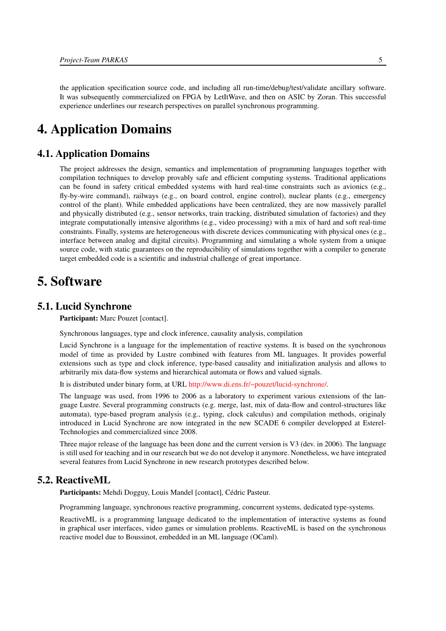the application specification source code, and including all run-time/debug/test/validate ancillary software. It was subsequently commercialized on FPGA by LetItWave, and then on ASIC by Zoran. This successful experience underlines our research perspectives on parallel synchronous programming.

# <span id="page-8-0"></span>4. Application Domains

## 4.1. Application Domains

The project addresses the design, semantics and implementation of programming languages together with compilation techniques to develop provably safe and efficient computing systems. Traditional applications can be found in safety critical embedded systems with hard real-time constraints such as avionics (e.g., fly-by-wire command), railways (e.g., on board control, engine control), nuclear plants (e.g., emergency control of the plant). While embedded applications have been centralized, they are now massively parallel and physically distributed (e.g., sensor networks, train tracking, distributed simulation of factories) and they integrate computationally intensive algorithms (e.g., video processing) with a mix of hard and soft real-time constraints. Finally, systems are heterogeneous with discrete devices communicating with physical ones (e.g., interface between analog and digital circuits). Programming and simulating a whole system from a unique source code, with static guarantees on the reproducibility of simulations together with a compiler to generate target embedded code is a scientific and industrial challenge of great importance.

# <span id="page-8-1"></span>5. Software

#### 5.1. Lucid Synchrone

<span id="page-8-2"></span>Participant: Marc Pouzet [contact].

Synchronous languages, type and clock inference, causality analysis, compilation

Lucid Synchrone is a language for the implementation of reactive systems. It is based on the synchronous model of time as provided by Lustre combined with features from ML languages. It provides powerful extensions such as type and clock inference, type-based causality and initialization analysis and allows to arbitrarily mix data-flow systems and hierarchical automata or flows and valued signals.

It is distributed under binary form, at URL [http://www.di.ens.fr/~pouzet/lucid-synchrone/.](http://www.di.ens.fr/~pouzet/lucid-synchrone/)

The language was used, from 1996 to 2006 as a laboratory to experiment various extensions of the language Lustre. Several programming constructs (e.g. merge, last, mix of data-flow and control-structures like automata), type-based program analysis (e.g., typing, clock calculus) and compilation methods, originaly introduced in Lucid Synchrone are now integrated in the new SCADE 6 compiler developped at Esterel-Technologies and commercialized since 2008.

Three major release of the language has been done and the current version is V3 (dev. in 2006). The language is still used for teaching and in our research but we do not develop it anymore. Nonetheless, we have integrated several features from Lucid Synchrone in new research prototypes described below.

## 5.2. ReactiveML

<span id="page-8-3"></span>Participants: Mehdi Dogguy, Louis Mandel [contact], Cédric Pasteur.

Programming language, synchronous reactive programming, concurrent systems, dedicated type-systems.

ReactiveML is a programming language dedicated to the implementation of interactive systems as found in graphical user interfaces, video games or simulation problems. ReactiveML is based on the synchronous reactive model due to Boussinot, embedded in an ML language (OCaml).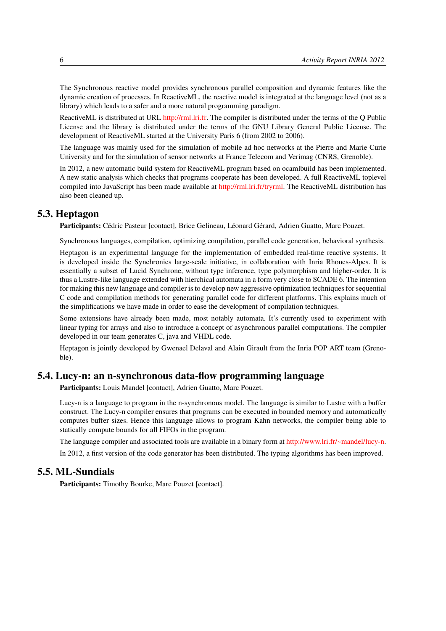The Synchronous reactive model provides synchronous parallel composition and dynamic features like the dynamic creation of processes. In ReactiveML, the reactive model is integrated at the language level (not as a library) which leads to a safer and a more natural programming paradigm.

ReactiveML is distributed at URL [http://rml.lri.fr.](http://rml.lri.fr) The compiler is distributed under the terms of the Q Public License and the library is distributed under the terms of the GNU Library General Public License. The development of ReactiveML started at the University Paris 6 (from 2002 to 2006).

The language was mainly used for the simulation of mobile ad hoc networks at the Pierre and Marie Curie University and for the simulation of sensor networks at France Telecom and Verimag (CNRS, Grenoble).

In 2012, a new automatic build system for ReactiveML program based on ocamlbuild has been implemented. A new static analysis which checks that programs cooperate has been developed. A full ReactiveML toplevel compiled into JavaScript has been made available at [http://rml.lri.fr/tryrml.](http://rml.lri.fr/tryrml) The ReactiveML distribution has also been cleaned up.

#### 5.3. Heptagon

<span id="page-9-0"></span>Participants: Cédric Pasteur [contact], Brice Gelineau, Léonard Gérard, Adrien Guatto, Marc Pouzet.

Synchronous languages, compilation, optimizing compilation, parallel code generation, behavioral synthesis.

Heptagon is an experimental language for the implementation of embedded real-time reactive systems. It is developed inside the Synchronics large-scale initiative, in collaboration with Inria Rhones-Alpes. It is essentially a subset of Lucid Synchrone, without type inference, type polymorphism and higher-order. It is thus a Lustre-like language extended with hierchical automata in a form very close to SCADE 6. The intention for making this new language and compiler is to develop new aggressive optimization techniques for sequential C code and compilation methods for generating parallel code for different platforms. This explains much of the simplifications we have made in order to ease the development of compilation techniques.

Some extensions have already been made, most notably automata. It's currently used to experiment with linear typing for arrays and also to introduce a concept of asynchronous parallel computations. The compiler developed in our team generates C, java and VHDL code.

Heptagon is jointly developed by Gwenael Delaval and Alain Girault from the Inria POP ART team (Grenoble).

# 5.4. Lucy-n: an n-synchronous data-flow programming language

<span id="page-9-1"></span>Participants: Louis Mandel [contact], Adrien Guatto, Marc Pouzet.

Lucy-n is a language to program in the n-synchronous model. The language is similar to Lustre with a buffer construct. The Lucy-n compiler ensures that programs can be executed in bounded memory and automatically computes buffer sizes. Hence this language allows to program Kahn networks, the compiler being able to statically compute bounds for all FIFOs in the program.

The language compiler and associated tools are available in a binary form at [http://www.lri.fr/~mandel/lucy-n.](http://www.lri.fr/~mandel/lucy-n)

<span id="page-9-2"></span>In 2012, a first version of the code generator has been distributed. The typing algorithms has been improved.

# 5.5. ML-Sundials

Participants: Timothy Bourke, Marc Pouzet [contact].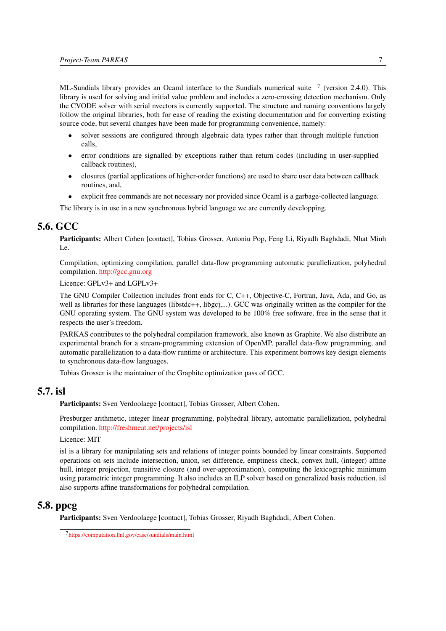ML-Sundials library provides an Ocaml interface to the Sundials numerical suite  $\frac{7}{7}$  (version 2.4.0). This library is used for solving and initial value problem and includes a zero-crossing detection mechanism. Only the CVODE solver with serial nvectors is currently supported. The structure and naming conventions largely follow the original libraries, both for ease of reading the existing documentation and for converting existing source code, but several changes have been made for programming convenience, namely:

- solver sessions are configured through algebraic data types rather than through multiple function calls,
- error conditions are signalled by exceptions rather than return codes (including in user-supplied callback routines),
- closures (partial applications of higher-order functions) are used to share user data between callback routines, and,
- explicit free commands are not necessary nor provided since Ocaml is a garbage-collected language.

<span id="page-10-0"></span>The library is in use in a new synchronous hybrid language we are currently developping.

# 5.6. GCC

Participants: Albert Cohen [contact], Tobias Grosser, Antoniu Pop, Feng Li, Riyadh Baghdadi, Nhat Minh Le.

Compilation, optimizing compilation, parallel data-flow programming automatic parallelization, polyhedral compilation. <http://gcc.gnu.org>

Licence: GPLv3+ and LGPLv3+

The GNU Compiler Collection includes front ends for C, C++, Objective-C, Fortran, Java, Ada, and Go, as well as libraries for these languages (libstdc++, libgcj,...). GCC was originally written as the compiler for the GNU operating system. The GNU system was developed to be 100% free software, free in the sense that it respects the user's freedom.

PARKAS contributes to the polyhedral compilation framework, also known as Graphite. We also distribute an experimental branch for a stream-programming extension of OpenMP, parallel data-flow programming, and automatic parallelization to a data-flow runtime or architecture. This experiment borrows key design elements to synchronous data-flow languages.

<span id="page-10-1"></span>Tobias Grosser is the maintainer of the Graphite optimization pass of GCC.

# 5.7. isl

Participants: Sven Verdoolaege [contact], Tobias Grosser, Albert Cohen.

Presburger arithmetic, integer linear programming, polyhedral library, automatic parallelization, polyhedral compilation. <http://freshmeat.net/projects/isl>

Licence: MIT

isl is a library for manipulating sets and relations of integer points bounded by linear constraints. Supported operations on sets include intersection, union, set difference, emptiness check, convex hull, (integer) affine hull, integer projection, transitive closure (and over-approximation), computing the lexicographic minimum using parametric integer programming. It also includes an ILP solver based on generalized basis reduction. isl also supports affine transformations for polyhedral compilation.

## 5.8. ppcg

<span id="page-10-2"></span>Participants: Sven Verdoolaege [contact], Tobias Grosser, Riyadh Baghdadi, Albert Cohen.

<sup>7</sup> <https://computation.llnl.gov/casc/sundials/main.html>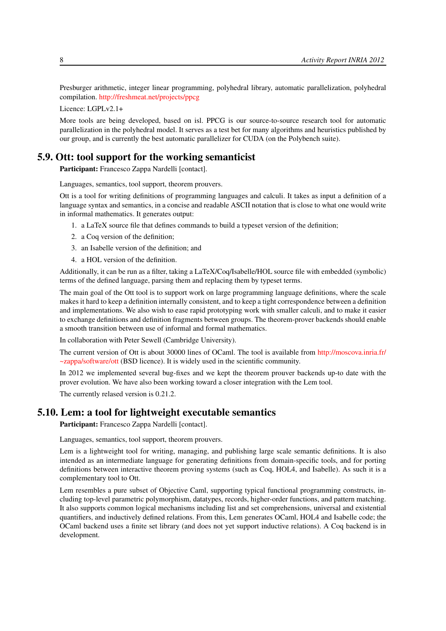Presburger arithmetic, integer linear programming, polyhedral library, automatic parallelization, polyhedral compilation. <http://freshmeat.net/projects/ppcg>

Licence: LGPLv2.1+

More tools are being developed, based on isl. PPCG is our source-to-source research tool for automatic parallelization in the polyhedral model. It serves as a test bet for many algorithms and heuristics published by our group, and is currently the best automatic parallelizer for CUDA (on the Polybench suite).

#### 5.9. Ott: tool support for the working semanticist

<span id="page-11-0"></span>Participant: Francesco Zappa Nardelli [contact].

Languages, semantics, tool support, theorem prouvers.

Ott is a tool for writing definitions of programming languages and calculi. It takes as input a definition of a language syntax and semantics, in a concise and readable ASCII notation that is close to what one would write in informal mathematics. It generates output:

- 1. a LaTeX source file that defines commands to build a typeset version of the definition;
- 2. a Coq version of the definition;
- 3. an Isabelle version of the definition; and
- 4. a HOL version of the definition.

Additionally, it can be run as a filter, taking a LaTeX/Coq/Isabelle/HOL source file with embedded (symbolic) terms of the defined language, parsing them and replacing them by typeset terms.

The main goal of the Ott tool is to support work on large programming language definitions, where the scale makes it hard to keep a definition internally consistent, and to keep a tight correspondence between a definition and implementations. We also wish to ease rapid prototyping work with smaller calculi, and to make it easier to exchange definitions and definition fragments between groups. The theorem-prover backends should enable a smooth transition between use of informal and formal mathematics.

In collaboration with Peter Sewell (Cambridge University).

The current version of Ott is about 30000 lines of OCaml. The tool is available from [http://moscova.inria.fr/](http://moscova.inria.fr/~zappa/software/ott) [~zappa/software/ott](http://moscova.inria.fr/~zappa/software/ott) (BSD licence). It is widely used in the scientific community.

In 2012 we implemented several bug-fixes and we kept the theorem prouver backends up-to date with the prover evolution. We have also been working toward a closer integration with the Lem tool.

<span id="page-11-1"></span>The currently relased version is 0.21.2.

#### 5.10. Lem: a tool for lightweight executable semantics

Participant: Francesco Zappa Nardelli [contact].

Languages, semantics, tool support, theorem prouvers.

Lem is a lightweight tool for writing, managing, and publishing large scale semantic definitions. It is also intended as an intermediate language for generating definitions from domain-specific tools, and for porting definitions between interactive theorem proving systems (such as Coq, HOL4, and Isabelle). As such it is a complementary tool to Ott.

Lem resembles a pure subset of Objective Caml, supporting typical functional programming constructs, including top-level parametric polymorphism, datatypes, records, higher-order functions, and pattern matching. It also supports common logical mechanisms including list and set comprehensions, universal and existential quantifiers, and inductively defined relations. From this, Lem generates OCaml, HOL4 and Isabelle code; the OCaml backend uses a finite set library (and does not yet support inductive relations). A Coq backend is in development.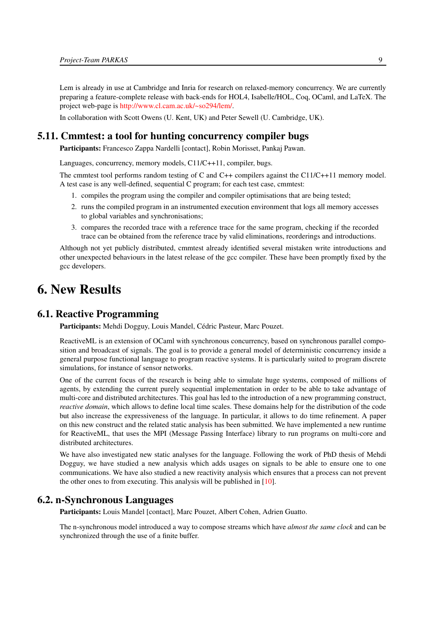Lem is already in use at Cambridge and Inria for research on relaxed-memory concurrency. We are currently preparing a feature-complete release with back-ends for HOL4, Isabelle/HOL, Coq, OCaml, and LaTeX. The project web-page is [http://www.cl.cam.ac.uk/~so294/lem/.](http://www.cl.cam.ac.uk/~so294/lem/)

<span id="page-12-0"></span>In collaboration with Scott Owens (U. Kent, UK) and Peter Sewell (U. Cambridge, UK).

# 5.11. Cmmtest: a tool for hunting concurrency compiler bugs

Participants: Francesco Zappa Nardelli [contact], Robin Morisset, Pankaj Pawan.

Languages, concurrency, memory models, C11/C++11, compiler, bugs.

The cmmtest tool performs random testing of C and C++ compilers against the C11/C++11 memory model. A test case is any well-defined, sequential C program; for each test case, cmmtest:

- 1. compiles the program using the compiler and compiler optimisations that are being tested;
- 2. runs the compiled program in an instrumented execution environment that logs all memory accesses to global variables and synchronisations;
- 3. compares the recorded trace with a reference trace for the same program, checking if the recorded trace can be obtained from the reference trace by valid eliminations, reorderings and introductions.

Although not yet publicly distributed, cmmtest already identified several mistaken write introductions and other unexpected behaviours in the latest release of the gcc compiler. These have been promptly fixed by the gcc developers.

# <span id="page-12-1"></span>6. New Results

#### 6.1. Reactive Programming

<span id="page-12-2"></span>Participants: Mehdi Dogguy, Louis Mandel, Cédric Pasteur, Marc Pouzet.

ReactiveML is an extension of OCaml with synchronous concurrency, based on synchronous parallel composition and broadcast of signals. The goal is to provide a general model of deterministic concurrency inside a general purpose functional language to program reactive systems. It is particularly suited to program discrete simulations, for instance of sensor networks.

One of the current focus of the research is being able to simulate huge systems, composed of millions of agents, by extending the current purely sequential implementation in order to be able to take advantage of multi-core and distributed architectures. This goal has led to the introduction of a new programming construct, *reactive domain*, which allows to define local time scales. These domains help for the distribution of the code but also increase the expressiveness of the language. In particular, it allows to do time refinement. A paper on this new construct and the related static analysis has been submitted. We have implemented a new runtime for ReactiveML, that uses the MPI (Message Passing Interface) library to run programs on multi-core and distributed architectures.

We have also investigated new static analyses for the language. Following the work of PhD thesis of Mehdi Dogguy, we have studied a new analysis which adds usages on signals to be able to ensure one to one communications. We have also studied a new reactivity analysis which ensures that a process can not prevent the other ones to from executing. This analysis will be published in [\[10\]](#page-20-1).

#### 6.2. n-Synchronous Languages

<span id="page-12-3"></span>Participants: Louis Mandel [contact], Marc Pouzet, Albert Cohen, Adrien Guatto.

The n-synchronous model introduced a way to compose streams which have *almost the same clock* and can be synchronized through the use of a finite buffer.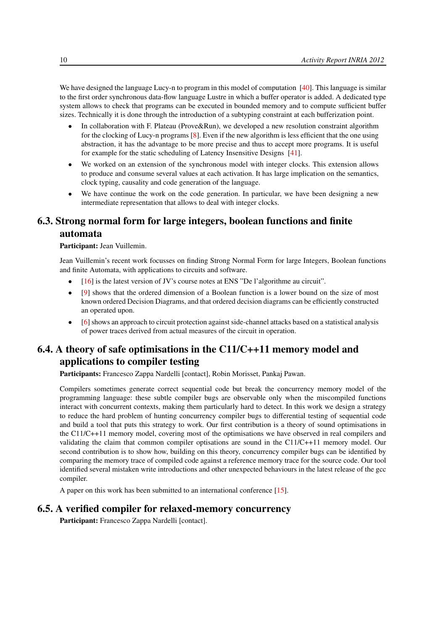We have designed the language Lucy-n to program in this model of computation [\[40\]](#page-22-12). This language is similar to the first order synchronous data-flow language Lustre in which a buffer operator is added. A dedicated type system allows to check that programs can be executed in bounded memory and to compute sufficient buffer sizes. Technically it is done through the introduction of a subtyping constraint at each bufferization point.

- In collaboration with F. Plateau (Prove&Run), we developed a new resolution constraint algorithm for the clocking of Lucy-n programs [\[8\]](#page-20-2). Even if the new algorithm is less efficient that the one using abstraction, it has the advantage to be more precise and thus to accept more programs. It is useful for example for the static scheduling of Latency Insensitive Designs [\[41\]](#page-22-13).
- We worked on an extension of the synchronous model with integer clocks. This extension allows to produce and consume several values at each activation. It has large implication on the semantics, clock typing, causality and code generation of the language.
- We have continue the work on the code generation. In particular, we have been designing a new intermediate representation that allows to deal with integer clocks.

# <span id="page-13-0"></span>6.3. Strong normal form for large integers, boolean functions and finite automata

Participant: Jean Vuillemin.

Jean Vuillemin's recent work focusses on finding Strong Normal Form for large Integers, Boolean functions and finite Automata, with applications to circuits and software.

- [\[16\]](#page-20-3) is the latest version of JV's course notes at ENS "De l'algorithme au circuit".
- [\[9\]](#page-20-4) shows that the ordered dimension of a Boolean function is a lower bound on the size of most known ordered Decision Diagrams, and that ordered decision diagrams can be efficiently constructed an operated upon.
- [\[6\]](#page-20-5) shows an approach to circuit protection against side-channel attacks based on a statistical analysis of power traces derived from actual measures of the circuit in operation.

# <span id="page-13-1"></span>6.4. A theory of safe optimisations in the C11/C++11 memory model and applications to compiler testing

Participants: Francesco Zappa Nardelli [contact], Robin Morisset, Pankaj Pawan.

Compilers sometimes generate correct sequential code but break the concurrency memory model of the programming language: these subtle compiler bugs are observable only when the miscompiled functions interact with concurrent contexts, making them particularly hard to detect. In this work we design a strategy to reduce the hard problem of hunting concurrency compiler bugs to differential testing of sequential code and build a tool that puts this strategy to work. Our first contribution is a theory of sound optimisations in the C11/C++11 memory model, covering most of the optimisations we have observed in real compilers and validating the claim that common compiler optisations are sound in the C11/C++11 memory model. Our second contribution is to show how, building on this theory, concurrency compiler bugs can be identified by comparing the memory trace of compiled code against a reference memory trace for the source code. Our tool identified several mistaken write introductions and other unexpected behaviours in the latest release of the gcc compiler.

<span id="page-13-2"></span>A paper on this work has been submitted to an international conference [\[15\]](#page-20-6).

## 6.5. A verified compiler for relaxed-memory concurrency

Participant: Francesco Zappa Nardelli [contact].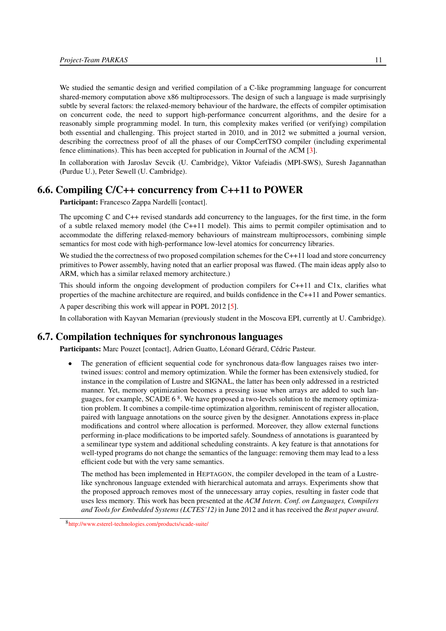We studied the semantic design and verified compilation of a C-like programming language for concurrent shared-memory computation above x86 multiprocessors. The design of such a language is made surprisingly subtle by several factors: the relaxed-memory behaviour of the hardware, the effects of compiler optimisation on concurrent code, the need to support high-performance concurrent algorithms, and the desire for a reasonably simple programming model. In turn, this complexity makes verified (or verifying) compilation both essential and challenging. This project started in 2010, and in 2012 we submitted a journal version, describing the correctness proof of all the phases of our CompCertTSO compiler (including experimental fence eliminations). This has been accepted for publication in Journal of the ACM [\[3\]](#page-19-3).

In collaboration with Jaroslav Sevcik (U. Cambridge), Viktor Vafeiadis (MPI-SWS), Suresh Jagannathan (Purdue U.), Peter Sewell (U. Cambridge).

## 6.6. Compiling C/C++ concurrency from C++11 to POWER

<span id="page-14-0"></span>Participant: Francesco Zappa Nardelli [contact].

The upcoming C and C++ revised standards add concurrency to the languages, for the first time, in the form of a subtle relaxed memory model (the C++11 model). This aims to permit compiler optimisation and to accommodate the differing relaxed-memory behaviours of mainstream multiprocessors, combining simple semantics for most code with high-performance low-level atomics for concurrency libraries.

We studied the the correctness of two proposed compilation schemes for the  $C++11$  load and store concurrency primitives to Power assembly, having noted that an earlier proposal was flawed. (The main ideas apply also to ARM, which has a similar relaxed memory architecture.)

This should inform the ongoing development of production compilers for C++11 and C1x, clarifies what properties of the machine architecture are required, and builds confidence in the C++11 and Power semantics.

A paper describing this work will appear in POPL 2012 [\[5\]](#page-19-4).

<span id="page-14-1"></span>In collaboration with Kayvan Memarian (previously student in the Moscova EPI, currently at U. Cambridge).

### 6.7. Compilation techniques for synchronous languages

Participants: Marc Pouzet [contact], Adrien Guatto, Léonard Gérard, Cédric Pasteur.

The generation of efficient sequential code for synchronous data-flow languages raises two intertwined issues: control and memory optimization. While the former has been extensively studied, for instance in the compilation of Lustre and SIGNAL, the latter has been only addressed in a restricted manner. Yet, memory optimization becomes a pressing issue when arrays are added to such languages, for example, SCADE 6<sup>8</sup>. We have proposed a two-levels solution to the memory optimization problem. It combines a compile-time optimization algorithm, reminiscent of register allocation, paired with language annotations on the source given by the designer. Annotations express in-place modifications and control where allocation is performed. Moreover, they allow external functions performing in-place modifications to be imported safely. Soundness of annotations is guaranteed by a semilinear type system and additional scheduling constraints. A key feature is that annotations for well-typed programs do not change the semantics of the language: removing them may lead to a less efficient code but with the very same semantics.

The method has been implemented in HEPTAGON, the compiler developed in the team of a Lustrelike synchronous language extended with hierarchical automata and arrays. Experiments show that the proposed approach removes most of the unnecessary array copies, resulting in faster code that uses less memory. This work has been presented at the *ACM Intern. Conf. on Languages, Compilers and Tools for Embedded Systems (LCTES'12)* in June 2012 and it has received the *Best paper award*.

<sup>8</sup> <http://www.esterel-technologies.com/products/scade-suite/>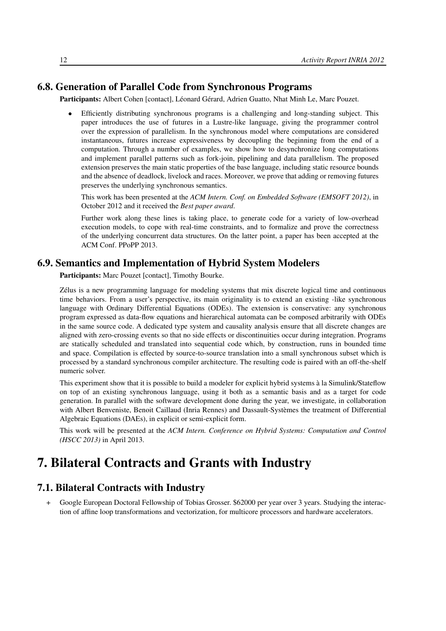# 6.8. Generation of Parallel Code from Synchronous Programs

<span id="page-15-0"></span>Participants: Albert Cohen [contact], Léonard Gérard, Adrien Guatto, Nhat Minh Le, Marc Pouzet.

• Efficiently distributing synchronous programs is a challenging and long-standing subject. This paper introduces the use of futures in a Lustre-like language, giving the programmer control over the expression of parallelism. In the synchronous model where computations are considered instantaneous, futures increase expressiveness by decoupling the beginning from the end of a computation. Through a number of examples, we show how to desynchronize long computations and implement parallel patterns such as fork-join, pipelining and data parallelism. The proposed extension preserves the main static properties of the base language, including static resource bounds and the absence of deadlock, livelock and races. Moreover, we prove that adding or removing futures preserves the underlying synchronous semantics.

This work has been presented at the *ACM Intern. Conf. on Embedded Software (EMSOFT 2012)*, in October 2012 and it received the *Best paper award*.

Further work along these lines is taking place, to generate code for a variety of low-overhead execution models, to cope with real-time constraints, and to formalize and prove the correctness of the underlying concurrent data structures. On the latter point, a paper has been accepted at the ACM Conf. PPoPP 2013.

### 6.9. Semantics and Implementation of Hybrid System Modelers

<span id="page-15-1"></span>Participants: Marc Pouzet [contact], Timothy Bourke.

Zélus is a new programming language for modeling systems that mix discrete logical time and continuous time behaviors. From a user's perspective, its main originality is to extend an existing -like synchronous language with Ordinary Differential Equations (ODEs). The extension is conservative: any synchronous program expressed as data-flow equations and hierarchical automata can be composed arbitrarily with ODEs in the same source code. A dedicated type system and causality analysis ensure that all discrete changes are aligned with zero-crossing events so that no side effects or discontinuities occur during integration. Programs are statically scheduled and translated into sequential code which, by construction, runs in bounded time and space. Compilation is effected by source-to-source translation into a small synchronous subset which is processed by a standard synchronous compiler architecture. The resulting code is paired with an off-the-shelf numeric solver.

This experiment show that it is possible to build a modeler for explicit hybrid systems à la Simulink/Stateflow on top of an existing synchronous language, using it both as a semantic basis and as a target for code generation. In parallel with the software development done during the year, we investigate, in collaboration with Albert Benveniste, Benoit Caillaud (Inria Rennes) and Dassault-Systèmes the treatment of Differential Algebraic Equations (DAEs), in explicit or semi-explicit form.

This work will be presented at the *ACM Intern. Conference on Hybrid Systems: Computation and Control (HSCC 2013)* in April 2013.

# <span id="page-15-2"></span>7. Bilateral Contracts and Grants with Industry

## 7.1. Bilateral Contracts with Industry

Google European Doctoral Fellowship of Tobias Grosser. \$62000 per year over 3 years. Studying the interaction of affine loop transformations and vectorization, for multicore processors and hardware accelerators.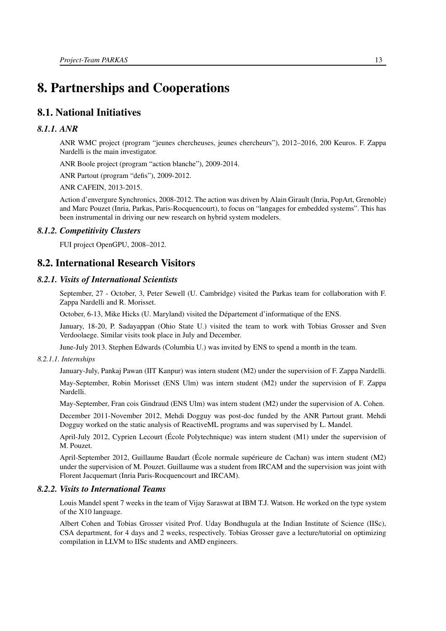# <span id="page-16-0"></span>8. Partnerships and Cooperations

# <span id="page-16-1"></span>8.1. National Initiatives

#### *8.1.1. ANR*

<span id="page-16-2"></span>ANR WMC project (program "jeunes chercheuses, jeunes chercheurs"), 2012–2016, 200 Keuros. F. Zappa Nardelli is the main investigator.

ANR Boole project (program "action blanche"), 2009-2014.

ANR Partout (program "defis"), 2009-2012.

ANR CAFEIN, 2013-2015.

Action d'envergure Synchronics, 2008-2012. The action was driven by Alain Girault (Inria, PopArt, Grenoble) and Marc Pouzet (Inria, Parkas, Paris-Rocquencourt), to focus on "langages for embedded systems". This has been instrumental in driving our new research on hybrid system modelers.

#### *8.1.2. Competitivity Clusters*

<span id="page-16-4"></span><span id="page-16-3"></span>FUI project OpenGPU, 2008–2012.

### 8.2. International Research Visitors

#### *8.2.1. Visits of International Scientists*

<span id="page-16-5"></span>September, 27 - October, 3, Peter Sewell (U. Cambridge) visited the Parkas team for collaboration with F. Zappa Nardelli and R. Morisset.

October, 6-13, Mike Hicks (U. Maryland) visited the Département d'informatique of the ENS.

January, 18-20, P. Sadayappan (Ohio State U.) visited the team to work with Tobias Grosser and Sven Verdoolaege. Similar visits took place in July and December.

June-July 2013. Stephen Edwards (Columbia U.) was invited by ENS to spend a month in the team.

#### *8.2.1.1. Internships*

January-July, Pankaj Pawan (IIT Kanpur) was intern student (M2) under the supervision of F. Zappa Nardelli. May-September, Robin Morisset (ENS Ulm) was intern student (M2) under the supervision of F. Zappa Nardelli.

May-September, Fran cois Gindraud (ENS Ulm) was intern student (M2) under the supervision of A. Cohen.

December 2011-November 2012, Mehdi Dogguy was post-doc funded by the ANR Partout grant. Mehdi Dogguy worked on the static analysis of ReactiveML programs and was supervised by L. Mandel.

April-July 2012, Cyprien Lecourt (École Polytechnique) was intern student (M1) under the supervision of M. Pouzet.

April-September 2012, Guillaume Baudart (École normale supérieure de Cachan) was intern student (M2) under the supervision of M. Pouzet. Guillaume was a student from IRCAM and the supervision was joint with Florent Jacquemart (Inria Paris-Rocquencourt and IRCAM).

#### *8.2.2. Visits to International Teams*

<span id="page-16-6"></span>Louis Mandel spent 7 weeks in the team of Vijay Saraswat at IBM T.J. Watson. He worked on the type system of the X10 language.

Albert Cohen and Tobias Grosser visited Prof. Uday Bondhugula at the Indian Institute of Science (IISc), CSA department, for 4 days and 2 weeks, respectively. Tobias Grosser gave a lecture/tutorial on optimizing compilation in LLVM to IISc students and AMD engineers.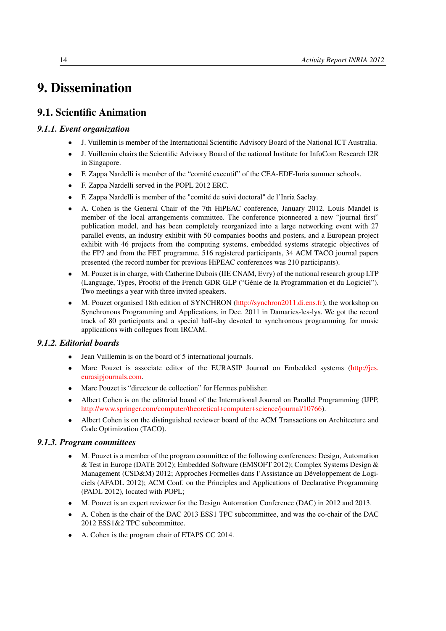# <span id="page-17-0"></span>9. Dissemination

# <span id="page-17-1"></span>9.1. Scientific Animation

## *9.1.1. Event organization*

- <span id="page-17-2"></span>• J. Vuillemin is member of the International Scientific Advisory Board of the National ICT Australia.
- J. Vuillemin chairs the Scientific Advisory Board of the national Institute for InfoCom Research I2R in Singapore.
- F. Zappa Nardelli is member of the "comité executif" of the CEA-EDF-Inria summer schools.
- F. Zappa Nardelli served in the POPL 2012 ERC.
- F. Zappa Nardelli is member of the "comité de suivi doctoral" de l'Inria Saclay.
- A. Cohen is the General Chair of the 7th HiPEAC conference, January 2012. Louis Mandel is member of the local arrangements committee. The conference pionneered a new "journal first" publication model, and has been completely reorganized into a large networking event with 27 parallel events, an industry exhibit with 50 companies booths and posters, and a European project exhibit with 46 projects from the computing systems, embedded systems strategic objectives of the FP7 and from the FET programme. 516 registered participants, 34 ACM TACO journal papers presented (the record number for previous HiPEAC conferences was 210 participants).
- M. Pouzet is in charge, with Catherine Dubois (IIE CNAM, Evry) of the national research group LTP (Language, Types, Proofs) of the French GDR GLP ("Génie de la Programmation et du Logiciel"). Two meetings a year with three invited speakers.
- M. Pouzet organised 18th edition of SYNCHRON [\(http://synchron2011.di.ens.fr\)](http://synchron2011.di.ens.fr), the workshop on Synchronous Programming and Applications, in Dec. 2011 in Damaries-les-lys. We got the record track of 80 participants and a special half-day devoted to synchronous programming for music applications with collegues from IRCAM.

#### *9.1.2. Editorial boards*

- <span id="page-17-3"></span>• Jean Vuillemin is on the board of 5 international journals.
- Marc Pouzet is associate editor of the EURASIP Journal on Embedded systems [\(http://jes.](http://jes.eurasipjournals.com) [eurasipjournals.com.](http://jes.eurasipjournals.com)
- Marc Pouzet is "directeur de collection" for Hermes publisher.
- Albert Cohen is on the editorial board of the International Journal on Parallel Programming (IJPP, [http://www.springer.com/computer/theoretical+computer+science/journal/10766\)](http://www.springer.com/computer/theoretical+computer+science/journal/10766).
- Albert Cohen is on the distinguished reviewer board of the ACM Transactions on Architecture and Code Optimization (TACO).

#### *9.1.3. Program committees*

- <span id="page-17-4"></span>• M. Pouzet is a member of the program committee of the following conferences: Design, Automation & Test in Europe (DATE 2012); Embedded Software (EMSOFT 2012); Complex Systems Design & Management (CSD&M) 2012; Approches Formelles dans l'Assistance au Développement de Logiciels (AFADL 2012); ACM Conf. on the Principles and Applications of Declarative Programming (PADL 2012), located with POPL;
- M. Pouzet is an expert reviewer for the Design Automation Conference (DAC) in 2012 and 2013.
- A. Cohen is the chair of the DAC 2013 ESS1 TPC subcommittee, and was the co-chair of the DAC 2012 ESS1&2 TPC subcommittee.
- A. Cohen is the program chair of ETAPS CC 2014.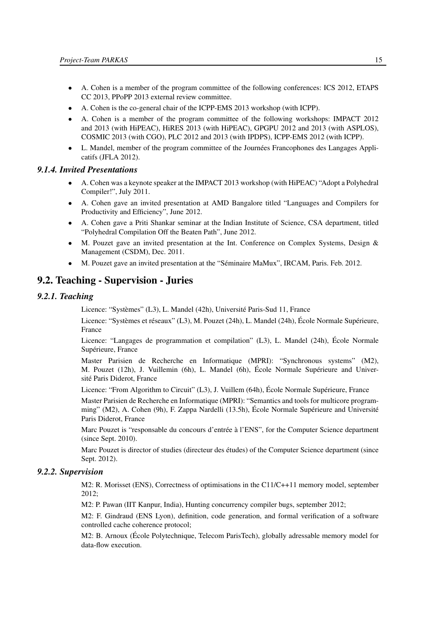- A. Cohen is a member of the program committee of the following conferences: ICS 2012, ETAPS CC 2013, PPoPP 2013 external review committee.
- A. Cohen is the co-general chair of the ICPP-EMS 2013 workshop (with ICPP).
- A. Cohen is a member of the program committee of the following workshops: IMPACT 2012 and 2013 (with HiPEAC), HiRES 2013 (with HiPEAC), GPGPU 2012 and 2013 (with ASPLOS), COSMIC 2013 (with CGO), PLC 2012 and 2013 (with IPDPS), ICPP-EMS 2012 (with ICPP).
- L. Mandel, member of the program committee of the Journées Francophones des Langages Applicatifs (JFLA 2012).

#### *9.1.4. Invited Presentations*

- <span id="page-18-0"></span>• A. Cohen was a keynote speaker at the IMPACT 2013 workshop (with HiPEAC) "Adopt a Polyhedral Compiler!", July 2011.
- A. Cohen gave an invited presentation at AMD Bangalore titled "Languages and Compilers for Productivity and Efficiency", June 2012.
- A. Cohen gave a Priti Shankar seminar at the Indian Institute of Science, CSA department, titled "Polyhedral Compilation Off the Beaten Path", June 2012.
- M. Pouzet gave an invited presentation at the Int. Conference on Complex Systems, Design & Management (CSDM), Dec. 2011.
- <span id="page-18-1"></span>• M. Pouzet gave an invited presentation at the "Séminaire MaMux", IRCAM, Paris. Feb. 2012.

## 9.2. Teaching - Supervision - Juries

#### <span id="page-18-2"></span>*9.2.1. Teaching*

Licence: "Systèmes" (L3), L. Mandel (42h), Université Paris-Sud 11, France

Licence: "Systèmes et réseaux" (L3), M. Pouzet (24h), L. Mandel (24h), École Normale Supérieure, France

Licence: "Langages de programmation et compilation" (L3), L. Mandel (24h), École Normale Supérieure, France

Master Parisien de Recherche en Informatique (MPRI): "Synchronous systems" (M2), M. Pouzet (12h), J. Vuillemin (6h), L. Mandel (6h), École Normale Supérieure and Université Paris Diderot, France

Licence: "From Algorithm to Circuit" (L3), J. Vuillem (64h), École Normale Supérieure, France

Master Parisien de Recherche en Informatique (MPRI): "Semantics and tools for multicore programming" (M2), A. Cohen (9h), F. Zappa Nardelli (13.5h), École Normale Supérieure and Université Paris Diderot, France

Marc Pouzet is "responsable du concours d'entrée à l'ENS", for the Computer Science department (since Sept. 2010).

Marc Pouzet is director of studies (directeur des études) of the Computer Science department (since Sept. 2012).

#### <span id="page-18-3"></span>*9.2.2. Supervision*

M2: R. Morisset (ENS), Correctness of optimisations in the C11/C++11 memory model, september 2012;

M2: P. Pawan (IIT Kanpur, India), Hunting concurrency compiler bugs, september 2012;

M2: F. Gindraud (ENS Lyon), definition, code generation, and formal verification of a software controlled cache coherence protocol;

M2: B. Arnoux (École Polytechnique, Telecom ParisTech), globally adressable memory model for data-flow execution.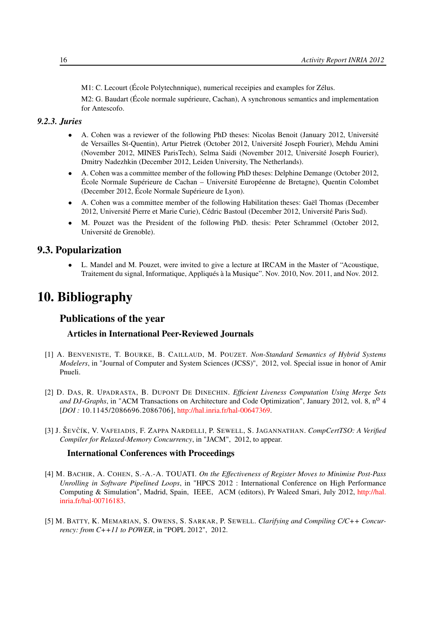M1: C. Lecourt (École Polytechnnique), numerical receipies and examples for Zélus.

M2: G. Baudart (École normale supérieure, Cachan), A synchronous semantics and implementation for Antescofo.

# *9.2.3. Juries*

- <span id="page-19-0"></span>• A. Cohen was a reviewer of the following PhD theses: Nicolas Benoit (January 2012, Université de Versailles St-Quentin), Artur Pietrek (October 2012, Université Joseph Fourier), Mehdu Amini (November 2012, MINES ParisTech), Selma Saidi (November 2012, Université Joseph Fourier), Dmitry Nadezhkin (December 2012, Leiden University, The Netherlands).
- A. Cohen was a committee member of the following PhD theses: Delphine Demange (October 2012, École Normale Supérieure de Cachan – Université Européenne de Bretagne), Quentin Colombet (December 2012, École Normale Supérieure de Lyon).
- A. Cohen was a committee member of the following Habilitation theses: Gaël Thomas (December 2012, Université Pierre et Marie Curie), Cédric Bastoul (December 2012, Université Paris Sud).
- M. Pouzet was the President of the following PhD. thesis: Peter Schrammel (October 2012, Université de Grenoble).

## 9.3. Popularization

<span id="page-19-1"></span>• L. Mandel and M. Pouzet, were invited to give a lecture at IRCAM in the Master of "Acoustique, Traitement du signal, Informatique, Appliqués à la Musique". Nov. 2010, Nov. 2011, and Nov. 2012.

# <span id="page-19-2"></span>10. Bibliography

# Publications of the year

#### Articles in International Peer-Reviewed Journals

- [1] A. BENVENISTE, T. BOURKE, B. CAILLAUD, M. POUZET. *Non-Standard Semantics of Hybrid Systems Modelers*, in "Journal of Computer and System Sciences (JCSS)", 2012, vol. Special issue in honor of Amir Pnueli.
- [2] D. DAS, R. UPADRASTA, B. DUPONT DE DINECHIN. *Efficient Liveness Computation Using Merge Sets and DJ-Graphs*, in "ACM Transactions on Architecture and Code Optimization", January 2012, vol. 8, no 4 [*DOI :* 10.1145/2086696.2086706], [http://hal.inria.fr/hal-00647369.](http://hal.inria.fr/hal-00647369)
- <span id="page-19-3"></span>[3] J. ŠEVCÍK ˇ , V. VAFEIADIS, F. ZAPPA NARDELLI, P. SEWELL, S. JAGANNATHAN. *CompCertTSO: A Verified Compiler for Relaxed-Memory Concurrency*, in "JACM", 2012, to appear.

#### International Conferences with Proceedings

- [4] M. BACHIR, A. COHEN, S.-A.-A. TOUATI. *On the Effectiveness of Register Moves to Minimise Post-Pass Unrolling in Software Pipelined Loops*, in "HPCS 2012 : International Conference on High Performance Computing & Simulation", Madrid, Spain, IEEE, ACM (editors), Pr Waleed Smari, July 2012, [http://hal.](http://hal.inria.fr/hal-00716183) [inria.fr/hal-00716183.](http://hal.inria.fr/hal-00716183)
- <span id="page-19-4"></span>[5] M. BATTY, K. MEMARIAN, S. OWENS, S. SARKAR, P. SEWELL. *Clarifying and Compiling C/C++ Concurrency: from C++11 to POWER*, in "POPL 2012", 2012.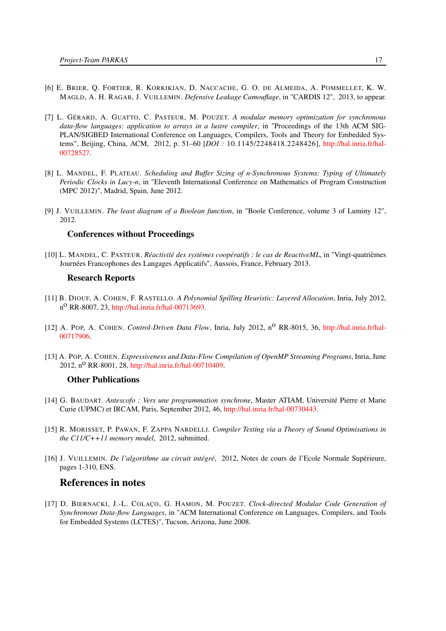- <span id="page-20-5"></span>[6] E. BRIER, Q. FORTIER, R. KORKIKIAN, D. NACCACHE, G. O. DE ALMEIDA, A. POMMELLET, K. W. MAGLD, A. H. RAGAB, J. VUILLEMIN. *Defensive Leakage Camouflage*, in "CARDIS 12", 2013, to appear.
- [7] L. GÉRARD, A. GUATTO, C. PASTEUR, M. POUZET. *A modular memory optimization for synchronous data-flow languages: application to arrays in a lustre compiler*, in "Proceedings of the 13th ACM SIG-PLAN/SIGBED International Conference on Languages, Compilers, Tools and Theory for Embedded Systems", Beijing, China, ACM, 2012, p. 51–60 [*DOI :* 10.1145/2248418.2248426], [http://hal.inria.fr/hal-](http://hal.inria.fr/hal-00728527)[00728527.](http://hal.inria.fr/hal-00728527)
- <span id="page-20-2"></span>[8] L. MANDEL, F. PLATEAU. *Scheduling and Buffer Sizing of n-Synchronous Systems: Typing of Ultimately Periodic Clocks in Lucy-n*, in "Eleventh International Conference on Mathematics of Program Construction (MPC 2012)", Madrid, Spain, June 2012.
- <span id="page-20-4"></span>[9] J. VUILLEMIN. *The least diagram of a Boolean function*, in "Boole Conference, volume 3 of Luminy 12", 2012.

#### Conferences without Proceedings

<span id="page-20-1"></span>[10] L. MANDEL, C. PASTEUR. *Réactivité des systèmes coopératifs : le cas de ReactiveML*, in "Vingt-quatrièmes Journées Francophones des Langages Applicatifs", Aussois, France, February 2013.

#### Research Reports

- [11] B. DIOUF, A. COHEN, F. RASTELLO. *A Polynomial Spilling Heuristic: Layered Allocation*, Inria, July 2012, n o RR-8007, 23, [http://hal.inria.fr/hal-00713693.](http://hal.inria.fr/hal-00713693)
- [12] A. POP, A. COHEN. *Control-Driven Data Flow*, Inria, July 2012, n<sup>o</sup> RR-8015, 36, [http://hal.inria.fr/hal-](http://hal.inria.fr/hal-00717906)[00717906.](http://hal.inria.fr/hal-00717906)
- [13] A. POP, A. COHEN. *Expressiveness and Data-Flow Compilation of OpenMP Streaming Programs*, Inria, June 2012,  $n^{\circ}$  RR-8001, 28, [http://hal.inria.fr/hal-00710409.](http://hal.inria.fr/hal-00710409)

#### Other Publications

- [14] G. BAUDART. *Antescofo : Vers une programmation synchrone*, Master ATIAM, Université Pierre et Marie Curie (UPMC) et IRCAM, Paris, September 2012, 46, [http://hal.inria.fr/hal-00730443.](http://hal.inria.fr/hal-00730443)
- <span id="page-20-6"></span>[15] R. MORISSET, P. PAWAN, F. ZAPPA NARDELLI. *Compiler Testing via a Theory of Sound Optimisations in the C11/C++11 memory model*, 2012, submitted.
- <span id="page-20-3"></span>[16] J. VUILLEMIN. *De l'algorithme au circuit intégré*, 2012, Notes de cours de l'Ecole Normale Supérieure, pages 1-310, ENS.

#### References in notes

<span id="page-20-0"></span>[17] D. BIERNACKI, J.-L. COLAÇO, G. HAMON, M. POUZET. *Clock-directed Modular Code Generation of Synchronous Data-flow Languages*, in "ACM International Conference on Languages, Compilers, and Tools for Embedded Systems (LCTES)", Tucson, Arizona, June 2008.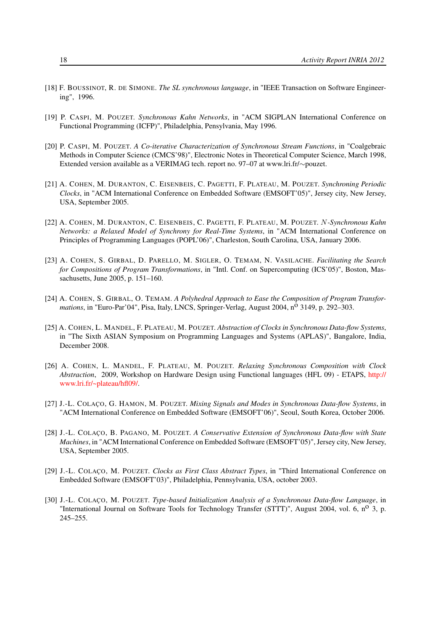- <span id="page-21-6"></span>[18] F. BOUSSINOT, R. DE SIMONE. *The SL synchronous language*, in "IEEE Transaction on Software Engineering", 1996.
- <span id="page-21-0"></span>[19] P. CASPI, M. POUZET. *Synchronous Kahn Networks*, in "ACM SIGPLAN International Conference on Functional Programming (ICFP)", Philadelphia, Pensylvania, May 1996.
- <span id="page-21-5"></span>[20] P. CASPI, M. POUZET. *A Co-iterative Characterization of Synchronous Stream Functions*, in "Coalgebraic Methods in Computer Science (CMCS'98)", Electronic Notes in Theoretical Computer Science, March 1998, Extended version available as a VERIMAG tech. report no. 97–07 at www.lri.fr/∼pouzet.
- <span id="page-21-7"></span>[21] A. COHEN, M. DURANTON, C. EISENBEIS, C. PAGETTI, F. PLATEAU, M. POUZET. *Synchroning Periodic Clocks*, in "ACM International Conference on Embedded Software (EMSOFT'05)", Jersey city, New Jersey, USA, September 2005.
- <span id="page-21-8"></span>[22] A. COHEN, M. DURANTON, C. EISENBEIS, C. PAGETTI, F. PLATEAU, M. POUZET. N*-Synchronous Kahn Networks: a Relaxed Model of Synchrony for Real-Time Systems*, in "ACM International Conference on Principles of Programming Languages (POPL'06)", Charleston, South Carolina, USA, January 2006.
- <span id="page-21-11"></span>[23] A. COHEN, S. GIRBAL, D. PARELLO, M. SIGLER, O. TEMAM, N. VASILACHE. *Facilitating the Search for Compositions of Program Transformations*, in "Intl. Conf. on Supercomputing (ICS'05)", Boston, Massachusetts, June 2005, p. 151–160.
- <span id="page-21-12"></span>[24] A. COHEN, S. GIRBAL, O. TEMAM. *A Polyhedral Approach to Ease the Composition of Program Transformations*, in "Euro-Par'04", Pisa, Italy, LNCS, Springer-Verlag, August 2004, n<sup>o</sup> 3149, p. 292–303.
- <span id="page-21-9"></span>[25] A. COHEN, L. MANDEL, F. PLATEAU, M. POUZET. *Abstraction of Clocks in Synchronous Data-flow Systems*, in "The Sixth ASIAN Symposium on Programming Languages and Systems (APLAS)", Bangalore, India, December 2008.
- <span id="page-21-10"></span>[26] A. COHEN, L. MANDEL, F. PLATEAU, M. POUZET. *Relaxing Synchronous Composition with Clock Abstraction*, 2009, Workshop on Hardware Design using Functional languages (HFL 09) - ETAPS, [http://](http://www.lri.fr/~plateau/hfl09/) [www.lri.fr/~plateau/hfl09/.](http://www.lri.fr/~plateau/hfl09/)
- <span id="page-21-4"></span>[27] J.-L. COLAÇO, G. HAMON, M. POUZET. *Mixing Signals and Modes in Synchronous Data-flow Systems*, in "ACM International Conference on Embedded Software (EMSOFT'06)", Seoul, South Korea, October 2006.
- <span id="page-21-3"></span>[28] J.-L. COLAÇO, B. PAGANO, M. POUZET. *A Conservative Extension of Synchronous Data-flow with State Machines*, in "ACM International Conference on Embedded Software (EMSOFT'05)", Jersey city, New Jersey, USA, September 2005.
- <span id="page-21-1"></span>[29] J.-L. COLAÇO, M. POUZET. *Clocks as First Class Abstract Types*, in "Third International Conference on Embedded Software (EMSOFT'03)", Philadelphia, Pennsylvania, USA, october 2003.
- <span id="page-21-2"></span>[30] J.-L. COLAÇO, M. POUZET. *Type-based Initialization Analysis of a Synchronous Data-flow Language*, in "International Journal on Software Tools for Technology Transfer (STTT)", August 2004, vol. 6,  $n^{\circ}$  3, p. 245–255.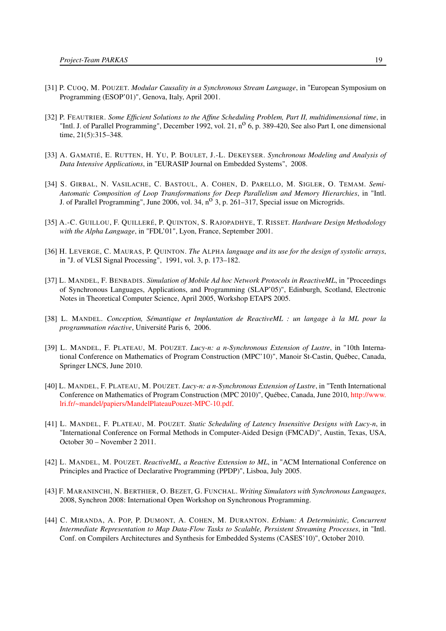- <span id="page-22-0"></span>[31] P. CUOQ, M. POUZET. *Modular Causality in a Synchronous Stream Language*, in "European Symposium on Programming (ESOP'01)", Genova, Italy, April 2001.
- <span id="page-22-7"></span>[32] P. FEAUTRIER. *Some Efficient Solutions to the Affine Scheduling Problem, Part II, multidimensional time*, in "Intl. J. of Parallel Programming", December 1992, vol. 21,  $n^{\circ}$  6, p. 389-420, See also Part I, one dimensional time, 21(5):315–348.
- <span id="page-22-10"></span>[33] A. GAMATIÉ, E. RUTTEN, H. YU, P. BOULET, J.-L. DEKEYSER. *Synchronous Modeling and Analysis of Data Intensive Applications*, in "EURASIP Journal on Embedded Systems", 2008.
- <span id="page-22-11"></span>[34] S. GIRBAL, N. VASILACHE, C. BASTOUL, A. COHEN, D. PARELLO, M. SIGLER, O. TEMAM. *Semi-Automatic Composition of Loop Transformations for Deep Parallelism and Memory Hierarchies*, in "Intl. J. of Parallel Programming", June 2006, vol. 34, n<sup>o</sup> 3, p. 261-317, Special issue on Microgrids.
- <span id="page-22-9"></span>[35] A.-C. GUILLOU, F. QUILLERÉ, P. QUINTON, S. RAJOPADHYE, T. RISSET. *Hardware Design Methodology with the Alpha Language*, in "FDL'01", Lyon, France, September 2001.
- <span id="page-22-8"></span>[36] H. LEVERGE, C. MAURAS, P. QUINTON. *The* ALPHA *language and its use for the design of systolic arrays*, in "J. of VLSI Signal Processing", 1991, vol. 3, p. 173–182.
- <span id="page-22-4"></span>[37] L. MANDEL, F. BENBADIS. *Simulation of Mobile Ad hoc Network Protocols in ReactiveML*, in "Proceedings of Synchronous Languages, Applications, and Programming (SLAP'05)", Edinburgh, Scotland, Electronic Notes in Theoretical Computer Science, April 2005, Workshop ETAPS 2005.
- <span id="page-22-2"></span>[38] L. MANDEL. *Conception, Sémantique et Implantation de ReactiveML : un langage à la ML pour la programmation réactive*, Université Paris 6, 2006.
- <span id="page-22-5"></span>[39] L. MANDEL, F. PLATEAU, M. POUZET. *Lucy-n: a n-Synchronous Extension of Lustre*, in "10th International Conference on Mathematics of Program Construction (MPC'10)", Manoir St-Castin, Québec, Canada, Springer LNCS, June 2010.
- <span id="page-22-12"></span>[40] L. MANDEL, F. PLATEAU, M. POUZET. *Lucy-n: a n-Synchronous Extension of Lustre*, in "Tenth International Conference on Mathematics of Program Construction (MPC 2010)", Québec, Canada, June 2010, [http://www.](http://www.lri.fr/~mandel/papiers/MandelPlateauPouzet-MPC-10.pdf) [lri.fr/~mandel/papiers/MandelPlateauPouzet-MPC-10.pdf.](http://www.lri.fr/~mandel/papiers/MandelPlateauPouzet-MPC-10.pdf)
- <span id="page-22-13"></span>[41] L. MANDEL, F. PLATEAU, M. POUZET. *Static Scheduling of Latency Insensitive Designs with Lucy-n*, in "International Conference on Formal Methods in Computer-Aided Design (FMCAD)", Austin, Texas, USA, October 30 – November 2 2011.
- <span id="page-22-1"></span>[42] L. MANDEL, M. POUZET. *ReactiveML, a Reactive Extension to ML*, in "ACM International Conference on Principles and Practice of Declarative Programming (PPDP)", Lisboa, July 2005.
- <span id="page-22-3"></span>[43] F. MARANINCHI, N. BERTHIER, O. BEZET, G. FUNCHAL. *Writing Simulators with Synchronous Languages*, 2008, Synchron 2008: International Open Workshop on Synchronous Programming.
- <span id="page-22-6"></span>[44] C. MIRANDA, A. POP, P. DUMONT, A. COHEN, M. DURANTON. *Erbium: A Deterministic, Concurrent Intermediate Representation to Map Data-Flow Tasks to Scalable, Persistent Streaming Processes*, in "Intl. Conf. on Compilers Architectures and Synthesis for Embedded Systems (CASES'10)", October 2010.